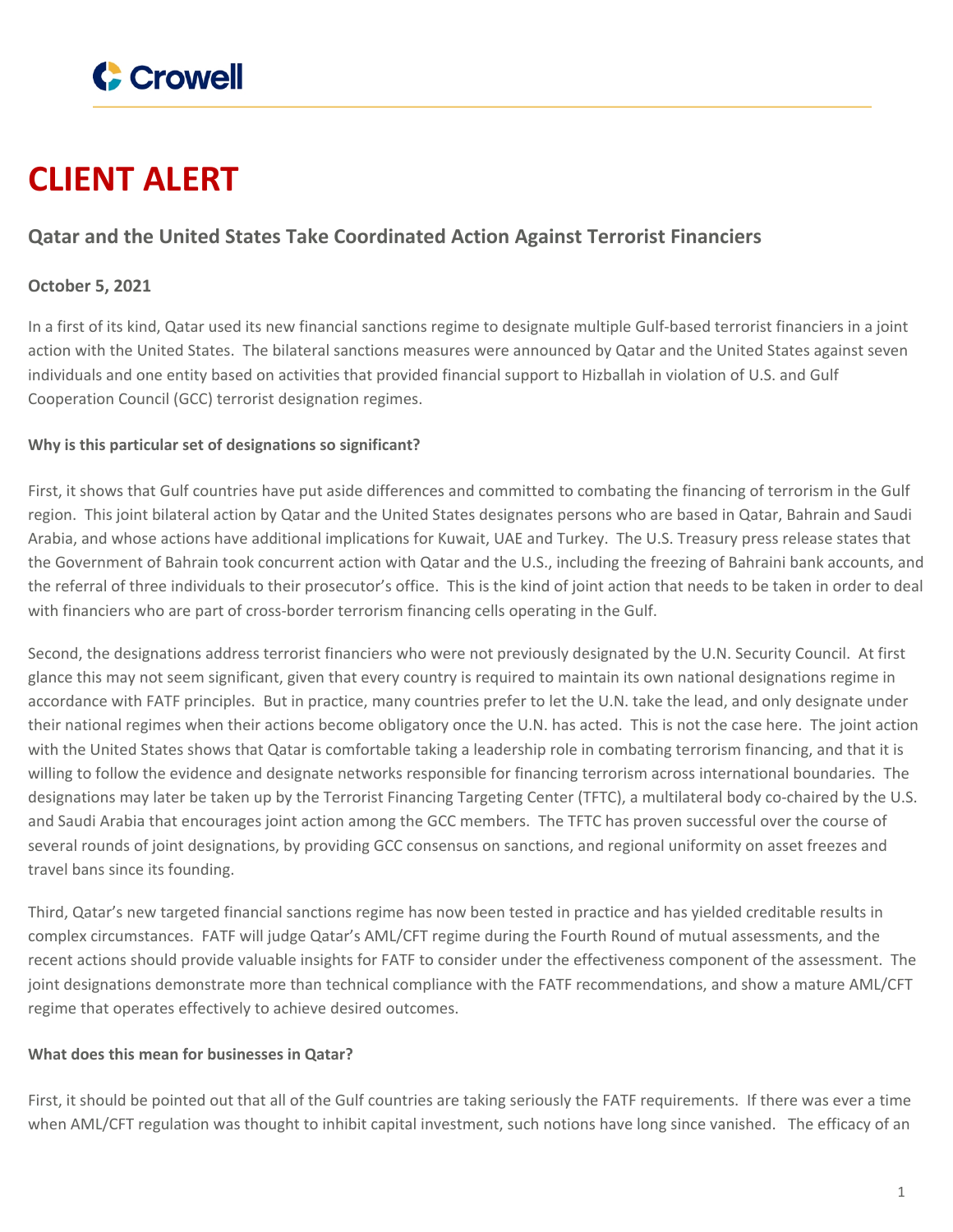

# **CLIENT ALERT**

# **Qatar and the United States Take Coordinated Action Against Terrorist Financiers**

## **October 5, 2021**

In a first of its kind, Qatar used its new financial sanctions regime to designate multiple Gulf-based terrorist financiers in a joint action with the United States. The bilateral sanctions measures were announced by Qatar and the United States against seven individuals and one entity based on activities that provided financial support to Hizballah in violation of U.S. and Gulf Cooperation Council (GCC) terrorist designation regimes.

#### **Why is this particular set of designations so significant?**

First, it shows that Gulf countries have put aside differences and committed to combating the financing of terrorism in the Gulf region. This joint bilateral action by Qatar and the United States designates persons who are based in Qatar, Bahrain and Saudi Arabia, and whose actions have additional implications for Kuwait, UAE and Turkey. The U.S. Treasury press release states that the Government of Bahrain took concurrent action with Qatar and the U.S., including the freezing of Bahraini bank accounts, and the referral of three individuals to their prosecutor's office. This is the kind of joint action that needs to be taken in order to deal with financiers who are part of cross-border terrorism financing cells operating in the Gulf.

Second, the designations address terrorist financiers who were not previously designated by the U.N. Security Council. At first glance this may not seem significant, given that every country is required to maintain its own national designations regime in accordance with FATF principles. But in practice, many countries prefer to let the U.N. take the lead, and only designate under their national regimes when their actions become obligatory once the U.N. has acted. This is not the case here. The joint action with the United States shows that Qatar is comfortable taking a leadership role in combating terrorism financing, and that it is willing to follow the evidence and designate networks responsible for financing terrorism across international boundaries. The designations may later be taken up by the Terrorist Financing Targeting Center (TFTC), a multilateral body co-chaired by the U.S. and Saudi Arabia that encourages joint action among the GCC members. The TFTC has proven successful over the course of several rounds of joint designations, by providing GCC consensus on sanctions, and regional uniformity on asset freezes and travel bans since its founding.

Third, Qatar's new targeted financial sanctions regime has now been tested in practice and has yielded creditable results in complex circumstances. FATF will judge Qatar's AML/CFT regime during the Fourth Round of mutual assessments, and the recent actions should provide valuable insights for FATF to consider under the effectiveness component of the assessment. The joint designations demonstrate more than technical compliance with the FATF recommendations, and show a mature AML/CFT regime that operates effectively to achieve desired outcomes.

### **What does this mean for businesses in Qatar?**

First, it should be pointed out that all of the Gulf countries are taking seriously the FATF requirements. If there was ever a time when AML/CFT regulation was thought to inhibit capital investment, such notions have long since vanished. The efficacy of an